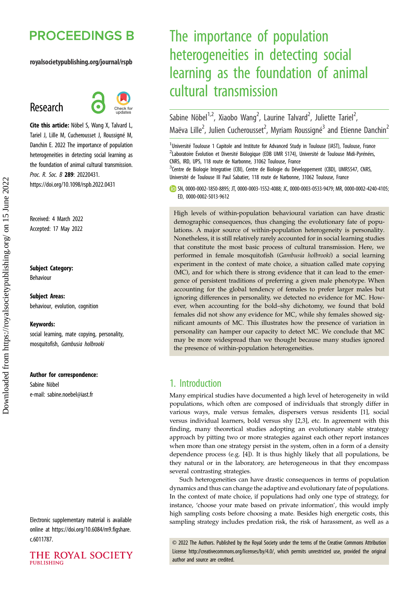## **PROCEEDINGS B**

#### royalsocietypublishing.org/journal/rspb

## Research



Cite this article: Nöbel S, Wang X, Talvard L, Tariel J, Lille M, Cucherousset J, Roussigné M, Danchin E. 2022 The importance of population heterogeneities in detecting social learning as the foundation of animal cultural transmission. Proc. R. Soc. B 289: 20220431. https://doi.org/10.1098/rspb.2022.0431

Received: 4 March 2022 Accepted: 17 May 2022

#### Subject Category:

Behaviour

Subject Areas: behaviour, evolution, cognition

#### Keywords:

social learning, mate copying, personality, mosquitofish, Gambusia holbrooki

#### Author for correspondence:

Sabine Nöbel e-mail: [sabine.noebel@iast.fr](mailto:sabine.noebel@iast.fr)

Electronic supplementary material is available online at [https://doi.org/10.6084/m9.figshare.](https://doi.org/10.6084/m9.figshare.c.6011787) [c.6011787.](https://doi.org/10.6084/m9.figshare.c.6011787)

#### THE ROYAL SOCIETY **PUBLISHING**

# The importance of population heterogeneities in detecting social learning as the foundation of animal cultural transmission

Sabine Nöbel<sup>1,2</sup>, Xiaobo Wang<sup>2</sup>, Laurine Talvard<sup>2</sup>, Juliette Tariel<sup>2</sup> .<br>, Maëva Lille<sup>2</sup>, Julien Cucherousset<sup>2</sup>, Myriam Roussigné<sup>3</sup> and Etienne Danchin<sup>2</sup>

<sup>1</sup>Université Toulouse 1 Capitole and Institute for Advanced Study in Toulouse (IAST), Toulouse, France <sup>2</sup>Laboratoire Évolution et Diversité Biologique (EDB UMR 5174), Université de Toulouse Midi-Pyrénées, CNRS, IRD, UPS, 118 route de Narbonne, 31062 Toulouse, France

<sup>3</sup>Centre de Biologie Integrative (CBI), Centre de Biologie du Développement (CBD), UMR5547, CNRS, Université de Toulouse III Paul Sabatier, 118 route de Narbonne, 31062 Toulouse, France

SN, [0000-0002-1850-8895](http://orcid.org/0000-0002-1850-8895); JT, [0000-0003-1552-4088;](http://orcid.org/0000-0003-1552-4088) JC, [0000-0003-0533-9479](http://orcid.org/0000-0003-0533-9479); MR, [0000-0002-4240-4105](http://orcid.org/0000-0002-4240-4105); ED, [0000-0002-5013-9612](https://orcid.org/0000-0002-5013-9612)

High levels of within-population behavioural variation can have drastic demographic consequences, thus changing the evolutionary fate of populations. A major source of within-population heterogeneity is personality. Nonetheless, it is still relatively rarely accounted for in social learning studies that constitute the most basic process of cultural transmission. Here, we performed in female mosquitofish (Gambusia holbrooki) a social learning experiment in the context of mate choice, a situation called mate copying (MC), and for which there is strong evidence that it can lead to the emergence of persistent traditions of preferring a given male phenotype. When accounting for the global tendency of females to prefer larger males but ignoring differences in personality, we detected no evidence for MC. However, when accounting for the bold–shy dichotomy, we found that bold females did not show any evidence for MC, while shy females showed significant amounts of MC. This illustrates how the presence of variation in personality can hamper our capacity to detect MC. We conclude that MC may be more widespread than we thought because many studies ignored the presence of within-population heterogeneities.

## 1. Introduction

Many empirical studies have documented a high level of heterogeneity in wild populations, which often are composed of individuals that strongly differ in various ways, male versus females, dispersers versus residents [[1](#page-7-0)], social versus individual learners, bold versus shy [[2](#page-7-0),[3](#page-7-0)], etc. In agreement with this finding, many theoretical studies adopting an evolutionary stable strategy approach by pitting two or more strategies against each other report instances when more than one strategy persist in the system, often in a form of a density dependence process (e.g. [[4](#page-7-0)]). It is thus highly likely that all populations, be they natural or in the laboratory, are heterogeneous in that they encompass several contrasting strategies.

Such heterogeneities can have drastic consequences in terms of population dynamics and thus can change the adaptive and evolutionary fate of populations. In the context of mate choice, if populations had only one type of strategy, for instance, 'choose your mate based on private information', this would imply high sampling costs before choosing a mate. Besides high energetic costs, this sampling strategy includes predation risk, the risk of harassment, as well as a

© 2022 The Authors. Published by the Royal Society under the terms of the Creative Commons Attribution License<http://creativecommons.org/licenses/by/4.0/>, which permits unrestricted use, provided the original author and source are credited.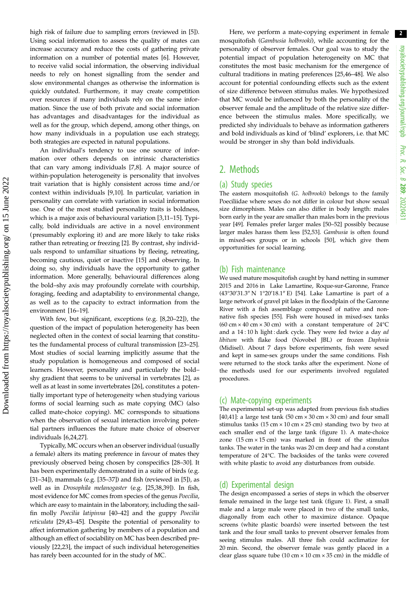high risk of failure due to sampling errors (reviewed in [\[5](#page-7-0)]). Using social information to assess the quality of mates can increase accuracy and reduce the costs of gathering private information on a number of potential mates [\[6\]](#page-7-0). However, to receive valid social information, the observing individual needs to rely on honest signalling from the sender and slow environmental changes as otherwise the information is quickly outdated. Furthermore, it may create competition over resources if many individuals rely on the same information. Since the use of both private and social information has advantages and disadvantages for the individual as well as for the group, which depend, among other things, on how many individuals in a population use each strategy, both strategies are expected in natural populations.

An individual's tendency to use one source of information over others depends on intrinsic characteristics that can vary among individuals [\[7,8\]](#page-7-0). A major source of within-population heterogeneity is personality that involves trait variation that is highly consistent across time and/or context within individuals [[9](#page-7-0),[10\]](#page-7-0). In particular, variation in personality can correlate with variation in social information use. One of the most studied personality traits is boldness, which is a major axis of behavioural variation [\[3,11](#page-7-0)–[15](#page-7-0)]. Typically, bold individuals are active in a novel environment (presumably exploring it) and are more likely to take risks rather than retreating or freezing [[2](#page-7-0)]. By contrast, shy individuals respond to unfamiliar situations by fleeing, retreating, becoming cautious, quiet or inactive [\[15](#page-7-0)] and observing. In doing so, shy individuals have the opportunity to gather information. More generally, behavioural differences along the bold–shy axis may profoundly correlate with courtship, foraging, feeding and adaptability to environmental change, as well as to the capacity to extract information from the environment [\[16](#page-7-0)–[19\]](#page-7-0).

With few, but significant, exceptions (e.g. [\[8,20](#page-7-0)–[22\]](#page-7-0)), the question of the impact of population heterogeneity has been neglected often in the context of social learning that constitutes the fundamental process of cultural transmission [[23](#page-7-0)–[25](#page-7-0)]. Most studies of social learning implicitly assume that the study population is homogeneous and composed of social learners. However, personality and particularly the bold– shy gradient that seems to be universal in vertebrates [[2](#page-7-0)], as well as at least in some invertebrates [\[26](#page-7-0)], constitutes a potentially important type of heterogeneity when studying various forms of social learning such as mate copying (MC) (also called mate-choice copying). MC corresponds to situations when the observation of sexual interaction involving potential partners influences the future mate choice of observer individuals [\[6,24,27](#page-7-0)].

Typically, MC occurs when an observer individual (usually a female) alters its mating preference in favour of mates they previously observed being chosen by conspecifics [[28](#page-7-0)–[30](#page-7-0)]. It has been experimentally demonstrated in a suite of birds (e.g. [\[31](#page-7-0)–[34\]](#page-7-0)), mammals (e.g. [\[35](#page-7-0)–[37](#page-7-0)]) and fish (reviewed in [\[5\]](#page-7-0)), as well as in Drosophila melanogaster (e.g. [[25,38,39](#page-7-0)]). In fish, most evidence for MC comes from species of the genus Poecilia, which are easy to maintain in the laboratory, including the sailfin molly Poecilia latipinna [[40](#page-7-0)–[42](#page-7-0)] and the guppy Poecilia reticulata [\[29,43](#page-7-0)–[45](#page-7-0)]. Despite the potential of personality to affect information gathering by members of a population and although an effect of sociability on MC has been described previously [\[22,23](#page-7-0)], the impact of such individual heterogeneities has rarely been accounted for in the study of MC.

Here, we perform a mate-copying experiment in female mosquitofish (Gambusia holbrooki), while accounting for the personality of observer females. Our goal was to study the potential impact of population heterogeneity on MC that constitutes the most basic mechanism for the emergence of cultural traditions in mating preferences [[25](#page-7-0)[,46](#page-8-0)–[48\]](#page-8-0). We also account for potential confounding effects such as the extent of size difference between stimulus males. We hypothesized that MC would be influenced by both the personality of the observer female and the amplitude of the relative size difference between the stimulus males. More specifically, we predicted shy individuals to behave as information gatherers and bold individuals as kind of 'blind' explorers, i.e. that MC would be stronger in shy than bold individuals.

## 2. Methods

#### (a) Study species

The eastern mosquitofish (G. holbrooki) belongs to the family Poeciliidae where sexes do not differ in colour but show sexual size dimorphism. Males can also differ in body length: males born early in the year are smaller than males born in the previous year [[49](#page-8-0)]. Females prefer larger males [\[50](#page-8-0)–[52](#page-8-0)] possibly because larger males harass them less [\[52,53\]](#page-8-0). Gambusia is often found in mixed-sex groups or in schools [[50](#page-8-0)], which give them opportunities for social learning.

#### (b) Fish maintenance

We used mature mosquitofish caught by hand netting in summer 2015 and 2016 in Lake Lamartine, Roque-sur-Garonne, France (43°30'31.3" N 1°20'18.1" E) [[54](#page-8-0)]. Lake Lamartine is part of a large network of gravel pit lakes in the floodplain of the Garonne River with a fish assemblage composed of native and nonnative fish species [\[55\]](#page-8-0). Fish were housed in mixed-sex tanks (60 cm  $\times$  40 cm  $\times$  30 cm) with a constant temperature of 24 $^{\circ}$ C and a 14:10 h light: dark cycle. They were fed twice a day ad libitum with flake food (Novobel JBL) or frozen Daphnia (Midisel). About 7 days before experiments, fish were sexed and kept in same-sex groups under the same conditions. Fish were returned to the stock tanks after the experiment. None of the methods used for our experiments involved regulated procedures.

#### (c) Mate-copying experiments

The experimental set-up was adapted from previous fish studies [[40,41\]](#page-7-0): a large test tank (50 cm  $\times$  30 cm  $\times$  30 cm) and four small stimulus tanks  $(15 \text{ cm} \times 10 \text{ cm} \times 25 \text{ cm})$  standing two by two at each smaller end of the large tank [\(figure 1](#page-2-0)). A mate-choice zone  $(15 \text{ cm} \times 15 \text{ cm})$  was marked in front of the stimulus tanks. The water in the tanks was 20 cm deep and had a constant temperature of 24°C. The backsides of the tanks were covered with white plastic to avoid any disturbances from outside.

#### (d) Experimental design

The design encompassed a series of steps in which the observer female remained in the large test tank ([figure 1\)](#page-2-0). First, a small male and a large male were placed in two of the small tanks, diagonally from each other to maximize distance. Opaque screens (white plastic boards) were inserted between the test tank and the four small tanks to prevent observer females from seeing stimulus males. All three fish could acclimatize for 20 min. Second, the observer female was gently placed in a clear glass square tube (10 cm  $\times$  10 cm  $\times$  35 cm) in the middle of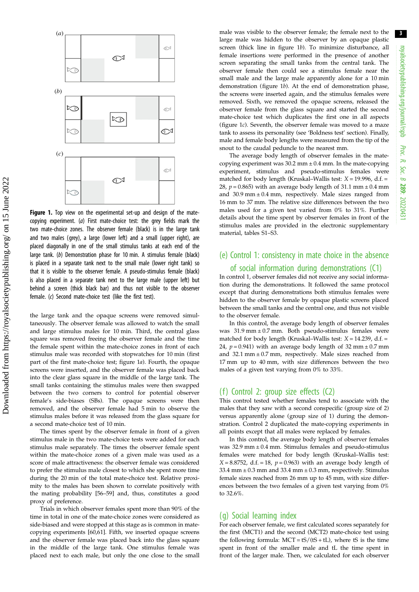<span id="page-2-0"></span>

Figure 1. Top view on the experimental set-up and design of the matecopying experiment. (a) First mate-choice test: the grey fields mark the two mate-choice zones. The observer female (black) is in the large tank and two males (grey), a large (lower left) and a small (upper right), are placed diagonally in one of the small stimulus tanks at each end of the large tank. (b) Demonstration phase for 10 min. A stimulus female (black) is placed in a separate tank next to the small male (lower right tank) so that it is visible to the observer female. A pseudo-stimulus female (black) is also placed in a separate tank next to the large male (upper left) but behind a screen (thick black bar) and thus not visible to the observer female. (c) Second mate-choice test (like the first test).

the large tank and the opaque screens were removed simultaneously. The observer female was allowed to watch the small and large stimulus males for 10 min. Third, the central glass square was removed freeing the observer female and the time the female spent within the mate-choice zones in front of each stimulus male was recorded with stopwatches for 10 min (first part of the first mate-choice test; figure 1a). Fourth, the opaque screens were inserted, and the observer female was placed back into the clear glass square in the middle of the large tank. The small tanks containing the stimulus males were then swapped between the two corners to control for potential observer female's side-biases (SBs). The opaque screens were then removed, and the observer female had 5 min to observe the stimulus males before it was released from the glass square for a second mate-choice test of 10 min.

The times spent by the observer female in front of a given stimulus male in the two mate-choice tests were added for each stimulus male separately. The times the observer female spent within the mate-choice zones of a given male was used as a score of male attractiveness: the observer female was considered to prefer the stimulus male closest to which she spent more time during the 20 min of the total mate-choice test. Relative proximity to the males has been shown to correlate positively with the mating probability [\[56](#page-8-0)–[59](#page-8-0)] and, thus, constitutes a good proxy of preference.

Trials in which observer females spent more than 90% of the time in total in one of the mate-choice zones were considered as side-biased and were stopped at this stage as is common in matecopying experiments [[60,61\]](#page-8-0). Fifth, we inserted opaque screens and the observer female was placed back into the glass square in the middle of the large tank. One stimulus female was placed next to each male, but only the one close to the small male was visible to the observer female; the female next to the large male was hidden to the observer by an opaque plastic screen (thick line in figure 1b). To minimize disturbance, all female insertions were performed in the presence of another screen separating the small tanks from the central tank. The observer female then could see a stimulus female near the small male and the large male apparently alone for a 10 min demonstration (figure 1b). At the end of demonstration phase, the screens were inserted again, and the stimulus females were removed. Sixth, we removed the opaque screens, released the observer female from the glass square and started the second mate-choice test which duplicates the first one in all aspects (figure 1c). Seventh, the observer female was moved to a maze tank to assess its personality (see 'Boldness test' section). Finally, male and female body lengths were measured from the tip of the snout to the caudal peduncle to the nearest mm.

The average body length of observer females in the matecopying experiment was  $30.2$  mm  $\pm 0.4$  mm. In the mate-copying experiment, stimulus and pseudo-stimulus females were matched for body length (Kruskal–Wallis test:  $X = 19.996$ , d.f. = 28,  $p = 0.865$ ) with an average body length of 31.1 mm  $\pm 0.4$  mm and  $30.9$  mm  $\pm 0.4$  mm, respectively. Male sizes ranged from 16 mm to 37 mm. The relative size differences between the two males used for a given test varied from 0% to 31%. Further details about the time spent by observer females in front of the stimulus males are provided in the electronic supplementary material, tables S1–S3.

## (e) Control 1: consistency in mate choice in the absence of social information during demonstrations (C1)

In control 1, observer females did not receive any social information during the demonstrations. It followed the same protocol except that during demonstrations both stimulus females were hidden to the observer female by opaque plastic screens placed between the small tanks and the central one, and thus not visible to the observer female.

In this control, the average body length of observer females was  $31.9$  mm  $\pm$  0.7 mm. Both pseudo-stimulus females were matched for body length (Kruskal–Wallis test:  $X = 14.239$ , d.f. = 24,  $p = 0.941$ ) with an average body length of 32 mm  $\pm 0.7$  mm and 32.1 mm  $\pm$  0.7 mm, respectively. Male sizes reached from 17 mm up to 40 mm, with size differences between the two males of a given test varying from 0% to 33%.

## (f) Control 2: group size effects (C2)

This control tested whether females tend to associate with the males that they saw with a second conspecific (group size of 2) versus apparently alone (group size of 1) during the demonstration. Control 2 duplicated the mate-copying experiments in all points except that all males were replaced by females.

In this control, the average body length of observer females was  $32.9$  mm  $\pm 0.4$  mm. Stimulus females and pseudo-stimulus females were matched for body length (Kruskal–Wallis test:  $X = 8.8752$ , d.f. = 18,  $p = 0.963$ ) with an average body length of 33.4 mm  $\pm$  0.3 mm and 33.4 mm  $\pm$  0.3 mm, respectively. Stimulus female sizes reached from 26 mm up to 45 mm, with size differences between the two females of a given test varying from 0% to 32.6%.

#### (g) Social learning index

For each observer female, we first calculated scores separately for the first (MCT1) and the second (MCT2) mate-choice test using the following formula:  $MCT = tS/(tS + tL)$ , where tS is the time spent in front of the smaller male and tL the time spent in front of the larger male. Then, we calculated for each observer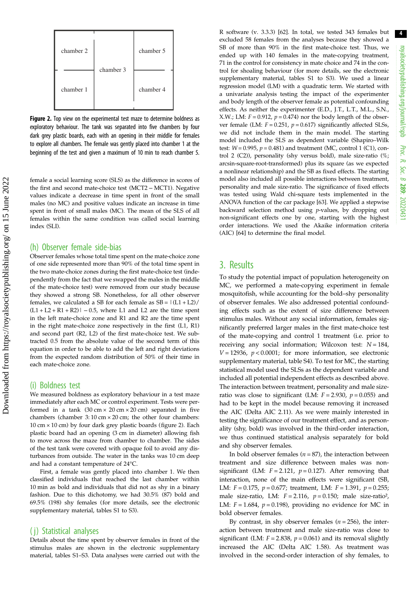

Figure 2. Top view on the experimental test maze to determine boldness as exploratory behaviour. The tank was separated into five chambers by four dark grey plastic boards, each with an opening in their middle for females to explore all chambers. The female was gently placed into chamber 1 at the beginning of the test and given a maximum of 10 min to reach chamber 5.

female a social learning score (SLS) as the difference in scores of the first and second mate-choice test (MCT2 − MCT1). Negative values indicate a decrease in time spent in front of the small males (no MC) and positive values indicate an increase in time spent in front of small males (MC). The mean of the SLS of all females within the same condition was called social learning index (SLI).

#### (h) Observer female side-bias

Observer females whose total time spent on the mate-choice zone of one side represented more than 90% of the total time spent in the two mate-choice zones during the first mate-choice test (independently from the fact that we swapped the males in the middle of the mate-choice test) were removed from our study because they showed a strong SB. Nonetheless, for all other observer females, we calculated a SB for each female as  $SB = |(L1 + L2)/$  $(L1 + L2 + R1 + R2)$ | − 0.5, where L1 and L2 are the time spent in the left mate-choice zone and R1 and R2 are the time spent in the right mate-choice zone respectively in the first (L1, R1) and second part (R2, L2) of the first mate-choice test. We subtracted 0.5 from the absolute value of the second term of this equation in order to be able to add the left and right deviations from the expected random distribution of 50% of their time in each mate-choice zone.

#### (i) Boldness test

We measured boldness as exploratory behaviour in a test maze immediately after each MC or control experiment. Tests were performed in a tank  $(30 \text{ cm} \times 20 \text{ cm} \times 20 \text{ cm})$  separated in five chambers (chamber 3: 10 cm × 20 cm; the other four chambers: 10 cm  $\times$  10 cm) by four dark grey plastic boards (figure 2). Each plastic board had an opening (3 cm in diameter) allowing fish to move across the maze from chamber to chamber. The sides of the test tank were covered with opaque foil to avoid any disturbances from outside. The water in the tanks was 10 cm deep and had a constant temperature of 24°C.

First, a female was gently placed into chamber 1. We then classified individuals that reached the last chamber within 10 min as bold and individuals that did not as shy in a binary fashion. Due to this dichotomy, we had 30.5% (87) bold and 69.5% (198) shy females (for more details, see the electronic supplementary material, tables S1 to S3).

#### ( j) Statistical analyses

Details about the time spent by observer females in front of the stimulus males are shown in the electronic supplementary material, tables S1–S3. Data analyses were carried out with the R software (v. 3.3.3) [[62](#page-8-0)]. In total, we tested 343 females but excluded 58 females from the analyses because they showed a SB of more than 90% in the first mate-choice test. Thus, we ended up with 140 females in the mate-copying treatment, 71 in the control for consistency in mate choice and 74 in the control for shoaling behaviour (for more details, see the electronic supplementary material, tables S1 to S3). We used a linear regression model (LM) with a quadratic term. We started with a univariate analysis testing the impact of the experimenter and body length of the observer female as potential confounding effects. As neither the experimenter (E.D., J.T., L.T., M.L., S.N., X.W.; LM:  $F = 0.912$ ,  $p = 0.474$ ) nor the body length of the observer female (LM:  $F = 0.251$ ,  $p = 0.617$ ) significantly affected SLSs, we did not include them in the main model. The starting model included the SLS as dependent variable (Shapiro–Wilk test:  $W = 0.995$ ,  $p = 0.481$ ) and treatment (MC, control 1 (C1), control 2 (C2)), personality (shy versus bold), male size-ratio (%; arcsin-square-root-transformed) plus its square (as we expected a nonlinear relationship) and the SB as fixed effects. The starting model also included all possible interactions between treatment, personality and male size-ratio. The significance of fixed effects was tested using Wald chi-square tests implemented in the ANOVA function of the car package [[63](#page-8-0)]. We applied a stepwise backward selection method using p-values, by dropping out non-significant effects one by one, starting with the highest order interactions. We used the Akaike information criteria (AIC) [\[64\]](#page-8-0) to determine the final model.

## 3. Results

To study the potential impact of population heterogeneity on MC, we performed a mate-copying experiment in female mosquitofish, while accounting for the bold–shy personality of observer females. We also addressed potential confounding effects such as the extent of size difference between stimulus males. Without any social information, females significantly preferred larger males in the first mate-choice test of the mate-copying and control 1 treatment (i.e. prior to receiving any social information; Wilcoxon test:  $N = 184$ ,  $V = 12936$ ,  $p < 0.0001$ ; for more information, see electronic supplementary material, table S4). To test for MC, the starting statistical model used the SLSs as the dependent variable and included all potential independent effects as described above. The interaction between treatment, personality and male sizeratio was close to significant (LM:  $F = 2.930$ ,  $p = 0.055$ ) and had to be kept in the model because removing it increased the AIC (Delta AIC 2.11). As we were mainly interested in testing the significance of our treatment effect, and as personality (shy, bold) was involved in the third-order interaction, we thus continued statistical analysis separately for bold and shy observer females.

In bold observer females  $(n = 87)$ , the interaction between treatment and size difference between males was nonsignificant (LM:  $F = 2.121$ ,  $p = 0.127$ ). After removing that interaction, none of the main effects were significant (SB, LM:  $F = 0.175$ ,  $p = 0.677$ ; treatment, LM:  $F = 1.391$ ,  $p = 0.255$ ; male size-ratio, LM:  $F = 2.116$ ,  $p = 0.150$ ; male size-ratio<sup>2</sup>, LM:  $F = 1.684$ ,  $p = 0.198$ ), providing no evidence for MC in bold observer females.

By contrast, in shy observer females  $(n = 256)$ , the interaction between treatment and male size-ratio was close to significant (LM:  $F = 2.838$ ,  $p = 0.061$ ) and its removal slightly increased the AIC (Delta AIC 1.58). As treatment was involved in the second-order interaction of shy females, to

4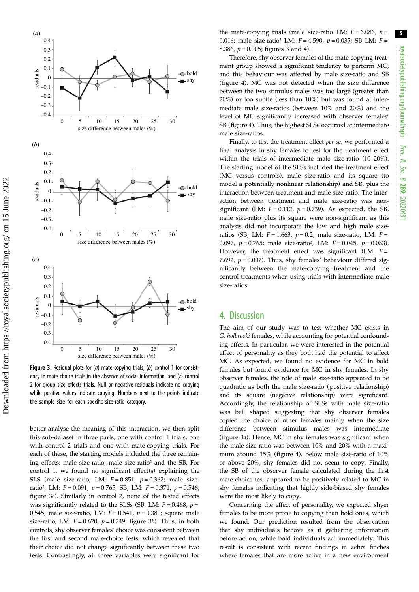

(*a*)

size difference between males (%) **Figure 3.** Residual plots for  $(a)$  mate-copying trials,  $(b)$  control 1 for consistency in mate choice trials in the absence of social information, and (c) control 2 for group size effects trials. Null or negative residuals indicate no copying while positive values indicate copying. Numbers next to the points indicate the sample size for each specific size-ratio category.

size difference between males (%)

bold  $-$ shy

bold  $-$  shy

bold  $-$ shy

size difference between males (%)

better analyse the meaning of this interaction, we then split this sub-dataset in three parts, one with control 1 trials, one with control 2 trials and one with mate-copying trials. For each of these, the starting models included the three remaining effects: male size-ratio, male size-ratio² and the SB. For control 1, we found no significant effect(s) explaining the SLS (male size-ratio, LM:  $F = 0.851$ ,  $p = 0.362$ ; male sizeratio<sup>2</sup>, LM:  $F = 0.091$ ,  $p = 0.765$ ; SB, LM:  $F = 0.371$ ,  $p = 0.546$ ; figure 3c). Similarly in control 2, none of the tested effects was significantly related to the SLSs (SB, LM:  $F = 0.468$ ,  $p =$ 0.545; male size-ratio, LM:  $F = 0.541$ ,  $p = 0.380$ ; square male size-ratio, LM:  $F = 0.620$ ,  $p = 0.249$ ; figure 3b). Thus, in both controls, shy observer females' choice was consistent between the first and second mate-choice tests, which revealed that their choice did not change significantly between these two tests. Contrastingly, all three variables were significant for the mate-copying trials (male size-ratio LM:  $F = 6.086$ ,  $p =$ 0.016; male size-ratio<sup>2</sup> LM:  $F = 4.590$ ,  $p = 0.035$ ; SB LM:  $F =$ 8.386,  $p = 0.005$ ; figures 3 and [4](#page-5-0)).

Therefore, shy observer females of the mate-copying treatment group showed a significant tendency to perform MC, and this behaviour was affected by male size-ratio and SB ([figure 4\)](#page-5-0). MC was not detected when the size difference between the two stimulus males was too large (greater than 20%) or too subtle (less than 10%) but was found at intermediate male size-ratios (between 10% and 20%) and the level of MC significantly increased with observer females' SB [\(figure 4](#page-5-0)). Thus, the highest SLSs occurred at intermediate male size-ratios.

Finally, to test the treatment effect per se, we performed a final analysis in shy females to test for the treatment effect within the trials of intermediate male size-ratio (10–20%). The starting model of the SLSs included the treatment effect (MC versus controls), male size-ratio and its square (to model a potentially nonlinear relationship) and SB, plus the interaction between treatment and male size-ratio. The interaction between treatment and male size-ratio was nonsignificant (LM:  $F = 0.112$ ,  $p = 0.739$ ). As expected, the SB, male size-ratio plus its square were non-significant as this analysis did not incorporate the low and high male sizeratios (SB, LM:  $F = 1.663$ ,  $p = 0.2$ ; male size-ratio, LM:  $F =$ 0.097,  $p = 0.765$ ; male size-ratio<sup>2</sup>, LM:  $F = 0.045$ ,  $p = 0.083$ ). However, the treatment effect was significant (LM:  $F =$ 7.692,  $p = 0.007$ ). Thus, shy females' behaviour differed significantly between the mate-copying treatment and the control treatments when using trials with intermediate male size-ratios.

## 4. Discussion

The aim of our study was to test whether MC exists in G. holbrooki females, while accounting for potential confounding effects. In particular, we were interested in the potential effect of personality as they both had the potential to affect MC. As expected, we found no evidence for MC in bold females but found evidence for MC in shy females. In shy observer females, the role of male size-ratio appeared to be quadratic as both the male size-ratio (positive relationship) and its square (negative relationship) were significant. Accordingly, the relationship of SLSs with male size-ratio was bell shaped suggesting that shy observer females copied the choice of other females mainly when the size difference between stimulus males was intermediate (figure 3a). Hence, MC in shy females was significant when the male size-ratio was between 10% and 20% with a maximum around 15% [\(figure 4\)](#page-5-0). Below male size-ratio of 10% or above 20%, shy females did not seem to copy. Finally, the SB of the observer female calculated during the first mate-choice test appeared to be positively related to MC in shy females indicating that highly side-biased shy females were the most likely to copy.

Concerning the effect of personality, we expected shyer females to be more prone to copying than bold ones, which we found. Our prediction resulted from the observation that shy individuals behave as if gathering information before action, while bold individuals act immediately. This result is consistent with recent findings in zebra finches where females that are more active in a new environment 5

Proc. R. Soc. $\sigma$ 

289: 20220431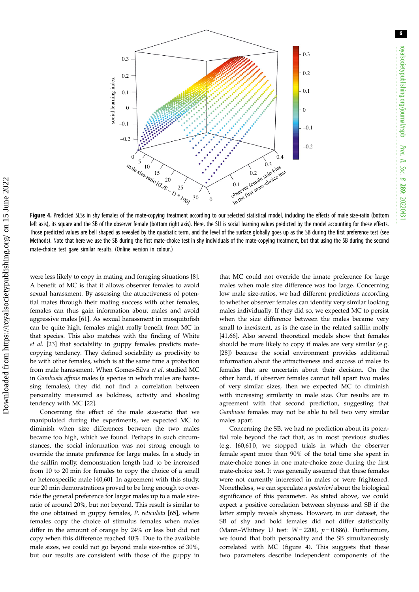6

<span id="page-5-0"></span>

Figure 4. Predicted SLSs in shy females of the mate-copying treatment according to our selected statistical model, including the effects of male size-ratio (bottom left axis), its square and the SB of the observer female (bottom right axis). Here, the SLI is social learning values predicted by the model accounting for these effects. Those predicted values are bell shaped as revealed by the quadratic term, and the level of the surface globally goes up as the SB during the first preference test (see Methods). Note that here we use the SB during the first mate-choice test in shy individuals of the mate-copying treatment, but that using the SB during the second mate-choice test gave similar results. (Online version in colour.)

were less likely to copy in mating and foraging situations [[8](#page-7-0)]. A benefit of MC is that it allows observer females to avoid sexual harassment. By assessing the attractiveness of potential mates through their mating success with other females, females can thus gain information about males and avoid aggressive males [\[61](#page-8-0)]. As sexual harassment in mosquitofish can be quite high, females might really benefit from MC in that species. This also matches with the finding of White et al. [\[23\]](#page-7-0) that sociability in guppy females predicts matecopying tendency. They defined sociability as proclivity to be with other females, which is at the same time a protection from male harassment. When Gomes-Silva et al. studied MC in Gambusia affinis males (a species in which males are harassing females), they did not find a correlation between personality measured as boldness, activity and shoaling tendency with MC [\[22](#page-7-0)].

Concerning the effect of the male size-ratio that we manipulated during the experiments, we expected MC to diminish when size differences between the two males became too high, which we found. Perhaps in such circumstances, the social information was not strong enough to override the innate preference for large males. In a study in the sailfin molly, demonstration length had to be increased from 10 to 20 min for females to copy the choice of a small or heterospecific male [\[40](#page-7-0),[60\]](#page-8-0). In agreement with this study, our 20 min demonstrations proved to be long enough to override the general preference for larger males up to a male sizeratio of around 20%, but not beyond. This result is similar to the one obtained in guppy females, P. reticulata [\[65](#page-8-0)], where females copy the choice of stimulus females when males differ in the amount of orange by 24% or less but did not copy when this difference reached 40%. Due to the available male sizes, we could not go beyond male size-ratios of 30%, but our results are consistent with those of the guppy in that MC could not override the innate preference for large males when male size difference was too large. Concerning low male size-ratios, we had different predictions according to whether observer females can identify very similar looking males individually. If they did so, we expected MC to persist when the size difference between the males became very small to inexistent, as is the case in the related sailfin molly [[41,](#page-7-0)[66\]](#page-8-0). Also several theoretical models show that females should be more likely to copy if males are very similar (e.g. [[28\]](#page-7-0)) because the social environment provides additional information about the attractiveness and success of males to females that are uncertain about their decision. On the other hand, if observer females cannot tell apart two males of very similar sizes, then we expected MC to diminish with increasing similarity in male size. Our results are in agreement with that second prediction, suggesting that Gambusia females may not be able to tell two very similar males apart.

Concerning the SB, we had no prediction about its potential role beyond the fact that, as in most previous studies (e.g. [[60,61](#page-8-0)]), we stopped trials in which the observer female spent more than 90% of the total time she spent in mate-choice zones in one mate-choice zone during the first mate-choice test. It was generally assumed that these females were not currently interested in males or were frightened. Nonetheless, we can speculate a posteriori about the biological significance of this parameter. As stated above, we could expect a positive correlation between shyness and SB if the latter simply reveals shyness. However, in our dataset, the SB of shy and bold females did not differ statistically (Mann–Whitney U test:  $W = 2200$ ,  $p = 0.886$ ). Furthermore, we found that both personality and the SB simultaneously correlated with MC (figure 4). This suggests that these two parameters describe independent components of the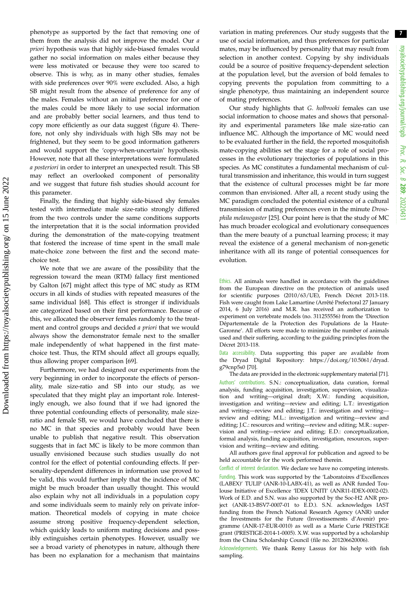phenotype as supported by the fact that removing one of them from the analysis did not improve the model. Our a priori hypothesis was that highly side-biased females would gather no social information on males either because they were less motivated or because they were too scared to observe. This is why, as in many other studies, females with side preferences over 90% were excluded. Also, a high SB might result from the absence of preference for any of the males. Females without an initial preference for one of the males could be more likely to use social information and are probably better social learners, and thus tend to copy more efficiently as our data suggest ([figure 4\)](#page-5-0). Therefore, not only shy individuals with high SBs may not be frightened, but they seem to be good information gatherers and would support the 'copy-when-uncertain' hypothesis. However, note that all these interpretations were formulated a posteriori in order to interpret an unexpected result. This SB may reflect an overlooked component of personality and we suggest that future fish studies should account for this parameter.

Finally, the finding that highly side-biased shy females tested with intermediate male size-ratio strongly differed from the two controls under the same conditions supports the interpretation that it is the social information provided during the demonstration of the mate-copying treatment that fostered the increase of time spent in the small male mate-choice zone between the first and the second matechoice test.

We note that we are aware of the possibility that the regression toward the mean (RTM) fallacy first mentioned by Galton [[67\]](#page-8-0) might affect this type of MC study as RTM occurs in all kinds of studies with repeated measures of the same individual [[68\]](#page-8-0). This effect is stronger if individuals are categorized based on their first performance. Because of this, we allocated the observer females randomly to the treatment and control groups and decided a priori that we would always show the demonstrator female next to the smaller male independently of what happened in the first matechoice test. Thus, the RTM should affect all groups equally, thus allowing proper comparison [[69\]](#page-8-0).

Furthermore, we had designed our experiments from the very beginning in order to incorporate the effects of personality, male size-ratio and SB into our study, as we speculated that they might play an important role. Interestingly enough, we also found that if we had ignored the three potential confounding effects of personality, male sizeratio and female SB, we would have concluded that there is no MC in that species and probably would have been unable to publish that negative result. This observation suggests that in fact MC is likely to be more common than usually envisioned because such studies usually do not control for the effect of potential confounding effects. If personality-dependent differences in information use proved to be valid, this would further imply that the incidence of MC might be much broader than usually thought. This would also explain why not all individuals in a population copy and some individuals seem to mainly rely on private information. Theoretical models of copying in mate choice assume strong positive frequency-dependent selection, which quickly leads to uniform mating decisions and possibly extinguishes certain phenotypes. However, usually we see a broad variety of phenotypes in nature, although there has been no explanation for a mechanism that maintains variation in mating preferences. Our study suggests that the use of social information, and thus preferences for particular mates, may be influenced by personality that may result from selection in another context. Copying by shy individuals could be a source of positive frequency-dependent selection at the population level, but the aversion of bold females to copying prevents the population from committing to a single phenotype, thus maintaining an independent source of mating preferences.

Our study highlights that G. holbrooki females can use social information to choose mates and shows that personality and experimental parameters like male size-ratio can influence MC. Although the importance of MC would need to be evaluated further in the field, the reported mosquitofish mate-copying abilities set the stage for a role of social processes in the evolutionary trajectories of populations in this species. As MC constitutes a fundamental mechanism of cultural transmission and inheritance, this would in turn suggest that the existence of cultural processes might be far more common than envisioned. After all, a recent study using the MC paradigm concluded the potential existence of a cultural transmission of mating preferences even in the minute Drosophila melanogaster [[25\]](#page-7-0). Our point here is that the study of MC has much broader ecological and evolutionary consequences than the mere beauty of a punctual learning process; it may reveal the existence of a general mechanism of non-genetic inheritance with all its range of potential consequences for evolution.

Ethics. All animals were handled in accordance with the guidelines from the European directive on the protection of animals used for scientific purposes (2010/63/UE), French Décret 2013-118. Fish were caught from Lake Lamartine (Arrêté Prefectoral 27 January 2014, 6 July 2016) and M.R. has received an authorization to experiment on vertebrate models (no. 311255556) from the 'Direction Départementale de la Protection des Populations de la Haute-Garonne'. All efforts were made to minimize the number of animals used and their suffering, according to the guiding principles from the Décret 2013-118.

Data accessibility. Data supporting this paper are available from the Dryad Digital Repository: [https://doi.org/10.5061/dryad.](https://doi.org/10.5061/dryad.g79cnp5s0) [g79cnp5s0](https://doi.org/10.5061/dryad.g79cnp5s0) [[70](#page-8-0)].

The data are provided in the electronic supplementary material [[71](#page-8-0)]. Authors' contributions. S.N.: conceptualization, data curation, formal analysis, funding acquisition, investigation, supervision, visualization and writing—original draft; X.W.: funding acquisition, investigation and writing—review and editing; L.T.: investigation and writing—review and editing; J.T.: investigation and writing review and editing; M.L.: investigation and writing—review and editing; J.C.: resources and writing—review and editing; M.R.: supervision and writing—review and editing; E.D.: conceptualization, formal analysis, funding acquisition, investigation, resources, supervision and writing—review and editing.

All authors gave final approval for publication and agreed to be held accountable for the work performed therein.

Conflict of interest declaration. We declare we have no competing interests. Funding. This work was supported by the 'Laboratoires d'Excellences (LABEX)' TULIP (ANR-10-LABX-41), as well as ANR funded Toulouse Initiative of Excellence 'IDEX UNITI' (ANR11-IDEX-0002-02). Work of E.D. and S.N. was also supported by the Soc-H2 ANR project (ANR-13-BSV7-0007-01 to E.D.). S.N. acknowledges IAST funding from the French National Research Agency (ANR) under the Investments for the Future (Investissements d'Avenir) programme (ANR-17-EUR-0010) as well as a Marie Curie PRESTIGE grant (PRESTIGE-2014-1-0005). X.W. was supported by a scholarship from the China Scholarship Council (file no. 201206620006).

Acknowledgements. We thank Remy Lassus for his help with fish sampling.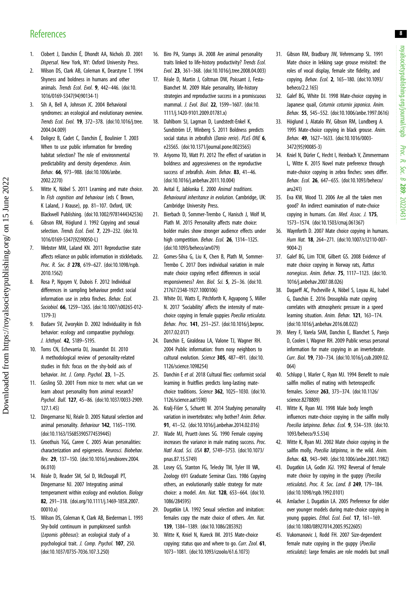## <span id="page-7-0"></span>**References**

- 1. Clobert J, Danchin É, Dhondt AA, Nichols JD. 2001 Dispersal. New York, NY: Oxford University Press.
- 2. Wilson DS, Clark AB, Coleman K, Dearstyne T. 1994 Shyness and boldness in humans and other animals. Trends Ecol. Evol. 9, 442–446. [\(doi:10.](http://dx.doi.org/10.1016/0169-5347(94)90134-1) [1016/0169-5347\(94\)90134-1](http://dx.doi.org/10.1016/0169-5347(94)90134-1))
- 3. Sih A, Bell A, Johnson JC. 2004 Behavioral syndromes: an ecological and evolutionary overview. Trends Ecol. Evol. 19, 372–378. ([doi:10.1016/j.tree.](http://dx.doi.org/10.1016/j.tree.2004.04.009) [2004.04.009\)](http://dx.doi.org/10.1016/j.tree.2004.04.009)
- 4. Doligez B, Cadet C, Danchin É, Boulinier T. 2003 When to use public information for breeding habitat selection? The role of environmental predictability and density dependence. Anim. Behav. 66, 973–988. ([doi:10.1006/anbe.](http://dx.doi.org/10.1006/anbe.2002.2270) [2002.2270\)](http://dx.doi.org/10.1006/anbe.2002.2270)
- 5. Witte K, Nöbel S. 2011 Learning and mate choice. In Fish cognition and behaviour (eds C Brown, K Laland, J Krause), pp. 81–107. Oxford, UK: Blackwell Publishing. [\(doi:10.1002/9781444342536\)](http://dx.doi.org/10.1002/9781444342536)
- 6. Gibson RM, Höglund J. 1992 Copying and sexual selection. Trends Ecol. Evol. 7, 229-232. ([doi:10.](http://dx.doi.org/10.1016/0169-5347(92)90050-L) [1016/0169-5347\(92\)90050-L](http://dx.doi.org/10.1016/0169-5347(92)90050-L))
- 7. Webster MM, Laland KN. 2011 Reproductive state affects reliance on public information in sticklebacks. Proc. R. Soc. B 278, 619-627. [\(doi:10.1098/rspb.](http://dx.doi.org/10.1098/rspb.2010.1562) [2010.1562\)](http://dx.doi.org/10.1098/rspb.2010.1562)
- 8. Rosa P, Nguyen V, Dubois F. 2012 Individual differences in sampling behaviour predict social information use in zebra finches. Behav. Ecol. Sociobiol. 66, 1259–1265. [\(doi:10.1007/s00265-012-](http://dx.doi.org/10.1007/s00265-012-1379-3) [1379-3](http://dx.doi.org/10.1007/s00265-012-1379-3))

Downloaded from https://royalsocietypublishing.org/ on 15 June 2022

Downloaded from https://royalsocietypublishing.org/ on 15 June 2022

- 9. Budaev SV, Zworykin D. 2002 Individuality in fish behavior: ecology and comparative psychology. J. Ichthyol. **42**, S189-S195.
- 10. Toms CN, Echevarria DJ, Jouandot DJ. 2010 A methodological review of personality-related studies in fish: focus on the shy-bold axis of behavior. Int. J. Comp. Psychol. 23, 1-25.
- 11. Gosling SD. 2001 From mice to men: what can we learn about personality from animal research? Psychol. Bull. 127, 45–86. [\(doi:10.1037/0033-2909.](https://doi.org/10.1037/0033-2909.127.1.45) [127.1.45\)](https://doi.org/10.1037/0033-2909.127.1.45)
- 12. Dingemanse NJ, Réale D. 2005 Natural selection and animal personality. Behaviour 142, 1165-1190. [\(doi:10.1163/156853905774539445\)](http://dx.doi.org/10.1163/156853905774539445)
- 13. Groothuis TGG, Carere C. 2005 Avian personalities: characterization and epigenesis. Neurosci. Biobehav. Rev. 29, 137–150. [\(doi:10.1016/j.neubiorev.2004.](http://dx.doi.org/10.1016/j.neubiorev.2004.06.010) [06.010\)](http://dx.doi.org/10.1016/j.neubiorev.2004.06.010)
- 14. Réale D, Reader SM, Sol D, McDougall PT, Dingemanse NJ. 2007 Integrating animal temperament within ecology and evolution. Biology 82, 291–318. ([doi.org/10.1111/j.1469-185X.2007.](http://dx.doi.org/doi.org/10.1111/j.1469-185X.2007.00010.x) [00010.x\)](http://dx.doi.org/doi.org/10.1111/j.1469-185X.2007.00010.x)
- 15. Wilson DS, Coleman K, Clark AB, Biederman L. 1993 Shy-bold continuum in pumpkinseed sunfish (Lepomis gibbosus): an ecological study of a psychological trait. J. Comp. Psychol. 107, 250. [\(doi:10.1037/0735-7036.107.3.250](http://dx.doi.org/10.1037/0735-7036.107.3.250))
- 16. Biro PA, Stamps JA. 2008 Are animal personality traits linked to life-history productivity? Trends Ecol. Evol. 23, 361–368. ([doi:10.1016/j.tree.2008.04.003\)](http://dx.doi.org/10.1016/j.tree.2008.04.003)
- 17. Réale D, Martin J, Coltman DW, Poissant J, Festa-Bianchet M. 2009 Male personality, life-history strategies and reproductive success in a promiscuous mammal. J. Evol. Biol. 22, 1599–1607. [\(doi:10.](http://dx.doi.org/10.1111/j.1420-9101.2009.01781.x) [1111/j.1420-9101.2009.01781.x](http://dx.doi.org/10.1111/j.1420-9101.2009.01781.x))
- 18. Dahlbom SJ, Lagman D, Lundstedt-Enkel K, Sundström LF, Winberg S. 2011 Boldness predicts social status in zebrafish (Danio rerio). PLoS ONE 6, e23565. ([doi:10.1371/journal.pone.0023565](http://dx.doi.org/10.1371/journal.pone.0023565))
- 19. Ariyomo TO, Watt PJ. 2012 The effect of variation in boldness and aggressiveness on the reproductive success of zebrafish. Anim. Behav. 83, 41-46. [\(doi:10.1016/j.anbehav.2011.10.004\)](http://dx.doi.org/10.1016/j.anbehav.2011.10.004)
- 20. Avital E, Jablonka E. 2000 Animal traditions. Behavioural inheritance in evolution. Cambridge, UK: Cambridge University Press.
- 21. Bierbach D, Sommer-Trembo C, Hanisch J, Wolf M, Plath M. 2015 Personality affects mate choice: bolder males show stronger audience effects under high competition. Behav. Ecol. 26, 1314-1325. [\(doi:10.1093/beheco/arv079](http://dx.doi.org/10.1093/beheco/arv079))
- 22. Gomes-Silva G, Liu K, Chen B, Plath M, Sommer-Trembo C. 2017 Does individual variation in male mate choice copying reflect differences in social responsiveness? Ann. Biol. Sci. 5, 25–36. [\(doi:10.](http://dx.doi.org/10.21767/2348-1927.1000106) [21767/2348-1927.1000106\)](http://dx.doi.org/10.21767/2348-1927.1000106)
- 23. White DJ, Watts E, Pitchforth K, Agyapong S, Miller N. 2017 'Sociability' affects the intensity of matechoice copying in female guppies Poecilia reticulata. Behav. Proc. 141, 251–257. [\(doi:10.1016/j.beproc.](https://doi.org/10.1016/j.beproc.2017.02.017) [2017.02.017\)](https://doi.org/10.1016/j.beproc.2017.02.017)
- 24. Danchin E, Giraldeau LA, Valone TJ, Wagner RH. 2004 Public information: from nosy neighbors to cultural evolution. Science 305, 487–491. [\(doi:10.](http://dx.doi.org/10.1126/science.1098254) [1126/science.1098254](http://dx.doi.org/10.1126/science.1098254))
- 25. Danchin E et al. 2018 Cultural flies: conformist social learning in fruitflies predicts long-lasting matechoice traditions. Science 362, 1025–1030. [\(doi:10.](http://dx.doi.org/10.1126/science.aat1590) [1126/science.aat1590\)](http://dx.doi.org/10.1126/science.aat1590)
- 26. Kralj-Fišer S, Schuett W. 2014 Studying personality variation in invertebrates: why bother? Anim. Behav. 91, 41–52. [\(doi:10.1016/j.anbehav.2014.02.016](http://dx.doi.org/10.1016/j.anbehav.2014.02.016))
- 27. Wade MJ, Pruett-Jones SG. 1990 Female copying increases the variance in male mating success. Proc. Natl Acad. Sci. USA 87, 5749–5753. ([doi:10.1073/](http://dx.doi.org/10.1073/pnas.87.15.5749) [pnas.87.15.5749\)](http://dx.doi.org/10.1073/pnas.87.15.5749)
- 28. Losey GS, Stanton FG, Telecky TM, Tyler III WA, Zoology 691 Graduate Seminar Class. 1986 Copying others, an evolutionarily stable strategy for mate choice: a model. Am. Nat. 128, 653–664. [\(doi:10.](https://doi.org/10.1086/284595) [1086/284595](https://doi.org/10.1086/284595))
- 29. Dugatkin LA. 1992 Sexual selection and imitation: females copy the mate choice of others. Am. Nat. 139, 1384–1389. [\(doi:10.1086/285392](http://dx.doi.org/10.1086/285392))
- 30. Witte K, Kniel N, Kureck IM. 2015 Mate-choice copying: status quo and where to go. Curr. Zool. 61, 1073–1081. [\(doi:10.1093/czoolo/61.6.1073\)](https://doi.org/10.1093/czoolo/61.6.1073)
- 31. Gibson RM, Bradbury JW, Vehrencamp SL. 1991 Mate choice in lekking sage grouse revisited: the roles of vocal display, female site fidelity, and copying. Behav. Ecol. 2, 165–180. ([doi:10.1093/](http://dx.doi.org/10.1093/beheco/2.2.165) [beheco/2.2.165\)](http://dx.doi.org/10.1093/beheco/2.2.165)
- 32. Galef BG, White DJ. 1998 Mate-choice copying in Japanese quail, Coturnix coturnix japonica. Anim. Behav. 55, 545–552. [\(doi:10.1006/anbe.1997.0616](http://dx.doi.org/10.1006/anbe.1997.0616))
- 33. Höglund J, Alatalo RV, Gibson RM, Lundberg A. 1995 Mate-choice copving in black grouse. Anim. Behav. 49, 1627–1633. [\(doi:10.1016/0003-](http://dx.doi.org/10.1016/0003-3472(95)90085-3) [3472\(95\)90085-3](http://dx.doi.org/10.1016/0003-3472(95)90085-3))
- 34. Kniel N, Dürler C, Hecht I, Heinbach V, Zimmermann L, Witte K. 2015 Novel mate preference through mate-choice copying in zebra finches: sexes differ. Behav. Ecol. 26, 647–655. ([doi:10.1093/beheco/](http://dx.doi.org/10.1093/beheco/aru241) [aru241\)](http://dx.doi.org/10.1093/beheco/aru241)
- 35. Eva KW, Wood TJ. 2006 Are all the taken men good? An indirect examination of mate-choice copying in humans. Can. Med. Assoc. J. 175, 1573–1574. [\(doi:10.1503/cmaj.061367\)](http://dx.doi.org/10.1503/cmaj.061367)
- 36. Waynforth D. 2007 Mate choice copying in humans. Hum Nat. 18, 264–271. [\(doi:10.1007/s12110-007-](http://dx.doi.org/10.1007/s12110-007-9004-2)  $9004-2)$  $9004-2)$
- 37. Galef BG, Lim TCW, Gilbert GS. 2008 Evidence of mate choice copying in Norway rats, Rattus norvegicus. Anim. Behav. 75, 1117–1123. [\(doi:10.](http://dx.doi.org/10.1016/j.anbehav.2007.08.026) [1016/j.anbehav.2007.08.026\)](http://dx.doi.org/10.1016/j.anbehav.2007.08.026)
- 38. Dagaeff AC, Pocheville A, Nöbel S, Loyau AL, Isabel G, Danchin E. 2016 Drosophila mate copying correlates with atmospheric pressure in a speed learning situation. Anim. Behav. 121, 163–174. ([doi:10.1016/j.anbehav.2016.08.022](http://dx.doi.org/10.1016/j.anbehav.2016.08.022))
- 39. Mery F, Varela SAM, Danchin E, Blanchet S, Parejo D, Coolen I, Wagner RH. 2009 Public versus personal information for mate copying in an invertebrate. Curr. Biol. 19, 730–734. ([doi:10.1016/j.cub.2009.02.](http://dx.doi.org/10.1016/j.cub.2009.02.064) [064\)](http://dx.doi.org/10.1016/j.cub.2009.02.064)
- 40. Schlupp I, Marler C, Ryan MJ. 1994 Benefit to male sailfin mollies of mating with heterospecific females. Science 263, 373–374. [\(doi:10.1126/](http://dx.doi.org/10.1126/science.8278809) [science.8278809](http://dx.doi.org/10.1126/science.8278809))
- 41. Witte K, Ryan MJ. 1998 Male body length influences mate-choice copying in the sailfin molly Poecilia latipinna. Behav. Ecol. 9, 534–539. [\(doi:10.](http://dx.doi.org/10.1093/beheco/9.5.534) [1093/beheco/9.5.534\)](http://dx.doi.org/10.1093/beheco/9.5.534)
- 42. Witte K, Ryan MJ. 2002 Mate choice copying in the sailfin molly, Poecilia latipinna, in the wild. Anim. Behav. 63, 943–949. [\(doi:10.1006/anbe.2001.1982](http://dx.doi.org/10.1006/anbe.2001.1982))
- 43. Dugatkin LA, Godin JGJ. 1992 Reversal of female mate choice by copying in the guppy (Poecilia reticulata). Proc. R. Soc. Lond. B 249, 179–184. ([doi:10.1098/rspb.1992.0101\)](http://dx.doi.org/10.1098/rspb.1992.0101)
- 44. Amlacher J, Dugatkin LA. 2005 Preference for older over younger models during mate-choice copying in young guppies. Ethol. Ecol. Evol. 17, 161-169. ([doi:10.1080/08927014.2005.9522605](http://dx.doi.org/10.1080/08927014.2005.9522605))
- 45. Vukomanovic J, Rodd FH. 2007 Size-dependent female mate copying in the guppy (Poecilia reticulata): large females are role models but small

8